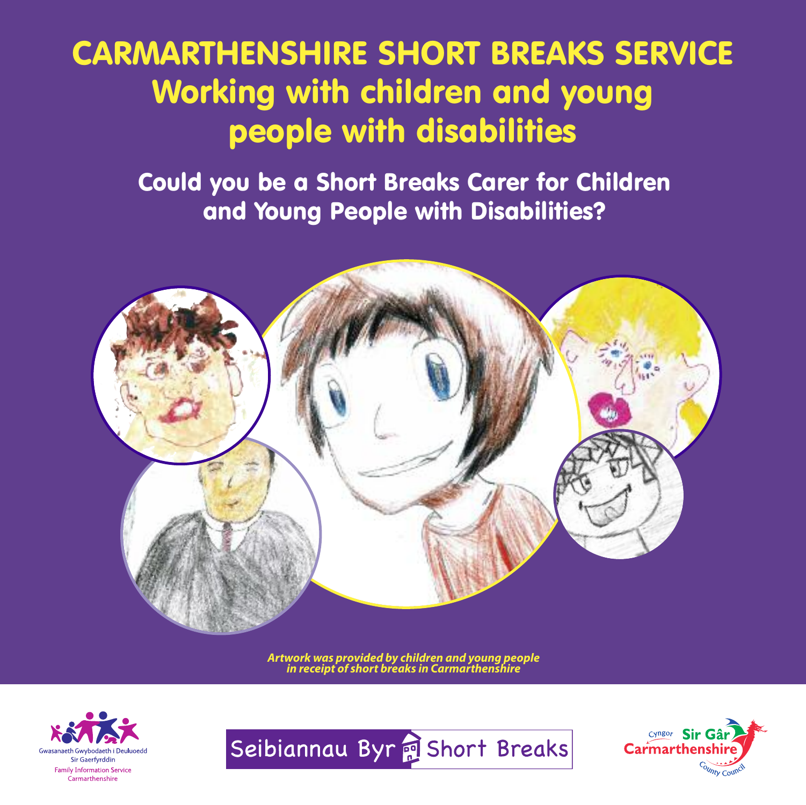# **CARMARTHENSHIRE SHORT BREAKS SERVICE Working with children and young people with disabilities**

**Could you be a Short Breaks Carer for Children and Young People with Disabilities?**



*Artwork was provided by children and young people in receipt of short breaks in Carmarthenshire*





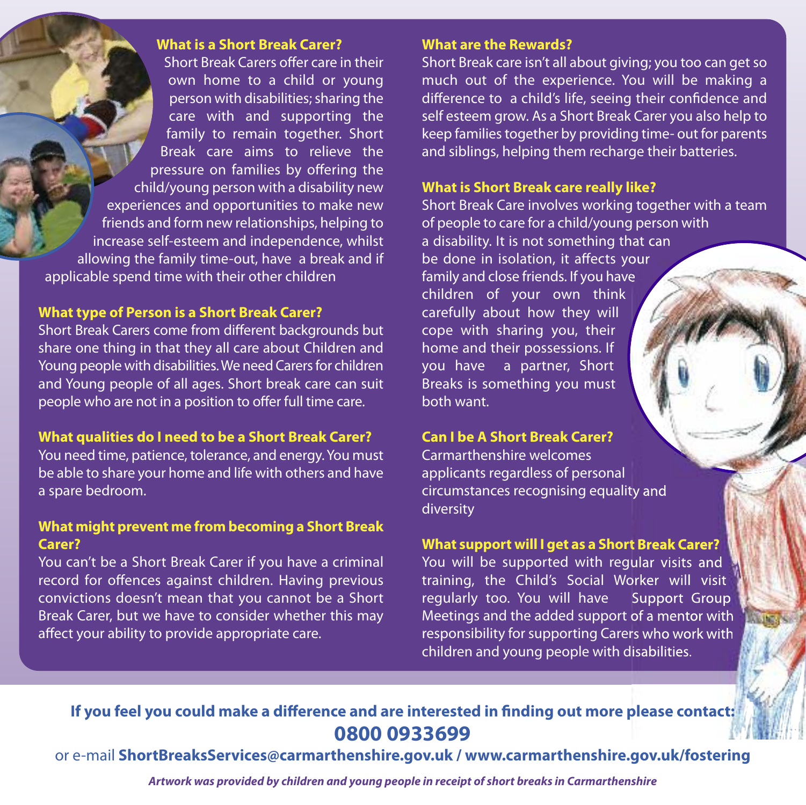## **What is a Short Break Carer?**

Short Break Carers offer care in their own home to a child or young person with disabilities; sharing the care with and supporting the family to remain together. Short Break care aims to relieve the pressure on families by offering the child/young person with a disability new experiences and opportunities to make new friends and form new relationships, helping to increase self-esteem and independence, whilst allowing the family time-out, have a break and if applicable spend time with their other children

# **What type of Person is a Short Break Carer?**

Short Break Carers come from different backgrounds but share one thing in that they all care about Children and Young people with disabilities. We need Carers for children and Young people of all ages. Short break care can suit people who are not in a position to offer full time care.

# **What qualities do I need to be a Short Break Carer?**

You need time, patience, tolerance, and energy.You must be able to share your home and life with others and have a spare bedroom.

# **What might prevent me from becoming a Short Break Carer?**

You can't be a Short Break Carer if you have a criminal record for offences against children. Having previous convictions doesn't mean that you cannot be a Short Break Carer, but we have to consider whether this may affect your ability to provide appropriate care.

### **What are the Rewards?**

Short Break care isn't all about giving; you too can get so much out of the experience. You will be making a difference to a child's life, seeing their confidence and self esteem grow. As a Short Break Carer you also help to keep families together by providing time- out for parents and siblings, helping them recharge their batteries.

## **What is Short Break care really like?**

Short Break Care involves working together with a team of people to care for a child/young person with a disability. It is not something that can be done in isolation, it affects your family and close friends. If you have children of your own think carefully about how they will cope with sharing you, their home and their possessions. If you have a partner, Short Breaks is something you must both want.

#### **Can I be A Short Break Carer?**

Carmarthenshire welcomes applicants regardless of personal circumstances recognising equality and diversity

# **What support will I get as a Short Break Carer?**

You will be supported with regular visits and training, the Child's Social Worker will visit regularly too. You will have Support Group Meetings and the added support of a mentor with responsibility for supporting Carers who work with children and young people with disabilities.

# **If you feel you could make a difference and are interested in finding out more please contact: 0800 0933699**

or e-mail **ShortBreaksServices@carmarthenshire.gov.uk / www.carmarthenshire.gov.uk/fostering**

*Artwork was provided by children and young people in receipt of short breaks in Carmarthenshire*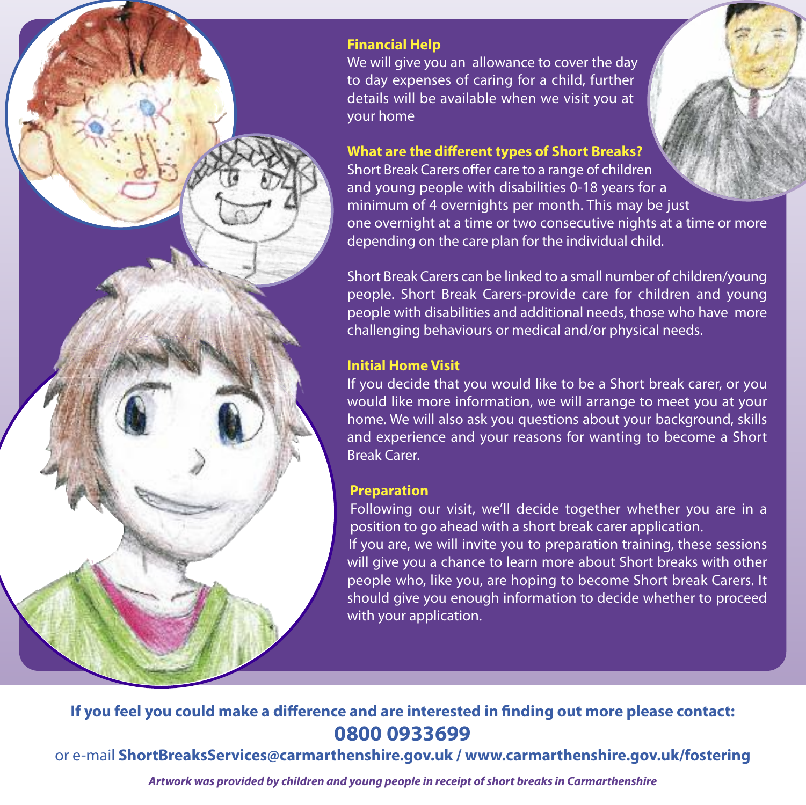

# **Financial Help**

We will give you an allowance to cover the day to day expenses of caring for a child, further details will be available when we visit you at your home

# **What are the different types of Short Breaks?**

Short Break Carers offer care to a range of children and young people with disabilities 0-18 years for a minimum of 4 overnights per month. This may be just one overnight at a time or two consecutive nights at a time or more depending on the care plan for the individual child.

Short Break Carers can be linked to a small number of children/young people. Short Break Carers-provide care for children and young people with disabilities and additional needs, those who have more challenging behaviours or medical and/or physical needs.

# **Initial Home Visit**

If you decide that you would like to be a Short break carer, or you would like more information, we will arrange to meet you at your home. We will also ask you questions about your background, skills and experience and your reasons for wanting to become a Short Break Carer.

# **Preparation**

Following our visit, we'll decide together whether you are in a position to go ahead with a short break carer application.

If you are, we will invite you to preparation training, these sessions will give you a chance to learn more about Short breaks with other people who, like you, are hoping to become Short break Carers. It should give you enough information to decide whether to proceed with your application.

# **If you feel you could make a difference and are interested in finding out more please contact: 0800 0933699**

or e-mail **ShortBreaksServices@carmarthenshire.gov.uk / www.carmarthenshire.gov.uk/fostering**

*Artwork was provided by children and young people in receipt of short breaks in Carmarthenshire*